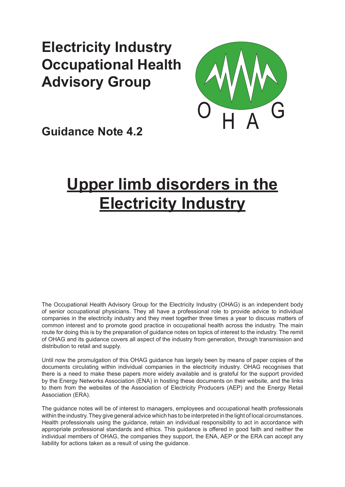# **Electricity Industry Occupational Health Advisory Group**



**Guidance Note 4.2**

# **Upper limb disorders in the Electricity Industry**

The Occupational Health Advisory Group for the Electricity Industry (OHAG) is an independent body of senior occupational physicians. They all have a professional role to provide advice to individual companies in the electricity industry and they meet together three times a year to discuss matters of common interest and to promote good practice in occupational health across the industry. The main route for doing this is by the preparation of guidance notes on topics of interest to the industry. The remit of OHAG and its guidance covers all aspect of the industry from generation, through transmission and distribution to retail and supply.

Until now the promulgation of this OHAG guidance has largely been by means of paper copies of the documents circulating within individual companies in the electricity industry. OHAG recognises that there is a need to make these papers more widely available and is grateful for the support provided by the Energy Networks Association (ENA) in hosting these documents on their website, and the links to them from the websites of the Association of Electricity Producers (AEP) and the Energy Retail Association (ERA).

The guidance notes will be of interest to managers, employees and occupational health professionals within the industry. They give general advice which has to be interpreted in the light of local circumstances. Health professionals using the guidance, retain an individual responsibility to act in accordance with appropriate professional standards and ethics. This guidance is offered in good faith and neither the individual members of OHAG, the companies they support, the ENA, AEP or the ERA can accept any liability for actions taken as a result of using the guidance.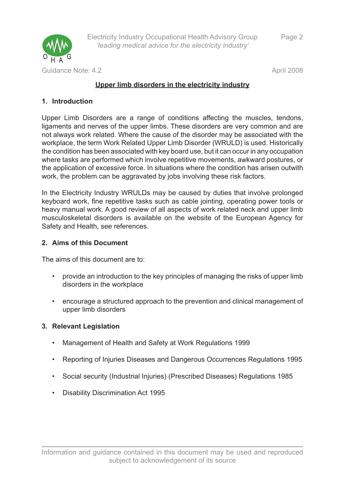

# **Upper limb disorders in the electricity industry**

# **Introduction 1.**

Upper Limb Disorders are a range of conditions affecting the muscles, tendons, ligaments and nerves of the upper limbs. These disorders are very common and are not always work related. Where the cause of the disorder may be associated with the workplace, the term Work Related Upper Limb Disorder (WRULD) is used. Historically the condition has been associated with key board use, but it can occur in any occupation where tasks are performed which involve repetitive movements, awkward postures, or the application of excessive force. In situations where the condition has arisen outwith work, the problem can be aggravated by jobs involving these risk factors.

In the Electricity Industry WRULDs may be caused by duties that involve prolonged keyboard work, fine repetitive tasks such as cable jointing, operating power tools or heavy manual work. A good review of all aspects of work related neck and upper limb musculoskeletal disorders is available on the website of the European Agency for Safety and Health, see references.

# **Aims of this Document 2.**

The aims of this document are to:

- provide an introduction to the key principles of managing the risks of upper limb disorders in the workplace •
- encourage a structured approach to the prevention and clinical management of upper limb disorders

#### **Relevant Legislation 3.**

- Management of Health and Safety at Work Regulations 1999 •
- Reporting of Injuries Diseases and Dangerous Occurrences Regulations 1995 •
- Social security (Industrial Injuries) (Prescribed Diseases) Regulations 1985 •
- Disability Discrimination Act 1995 •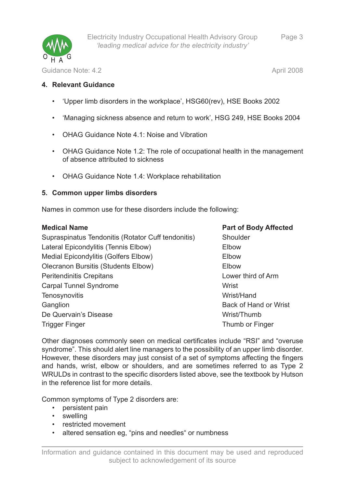

Page 3

Guidance Note: 4.2 April 2008

#### **Relevant Guidance 4.**

- 'Upper limb disorders in the workplace', HSG60(rev), HSE Books 2002
- 'Managing sickness absence and return to work', HSG 249, HSE Books 2004
- OHAG Guidance Note 4.1: Noise and Vibration •
- OHAG Guidance Note 1.2: The role of occupational health in the management of absence attributed to sickness
- OHAG Guidance Note 1.4: Workplace rehabilitation

#### **Common upper limbs disorders 5.**

Names in common use for these disorders include the following:

| <b>Medical Name</b>                                | <b>Part of Body Affected</b> |
|----------------------------------------------------|------------------------------|
| Supraspinatus Tendonitis (Rotator Cuff tendonitis) | Shoulder                     |
| Lateral Epicondylitis (Tennis Elbow)               | Elbow                        |
| Medial Epicondylitis (Golfers Elbow)               | Elbow                        |
| <b>Olecranon Bursitis (Students Elbow)</b>         | Elbow                        |
| <b>Peritendinitis Crepitans</b>                    | Lower third of Arm           |
| <b>Carpal Tunnel Syndrome</b>                      | Wrist                        |
| Tenosynovitis                                      | Wrist/Hand                   |
| Ganglion                                           | Back of Hand or Wrist        |
| De Quervain's Disease                              | Wrist/Thumb                  |
| <b>Trigger Finger</b>                              | Thumb or Finger              |
|                                                    |                              |

Other diagnoses commonly seen on medical certificates include "RSI" and "overuse syndrome". This should alert line managers to the possibility of an upper limb disorder. However, these disorders may just consist of a set of symptoms affecting the fingers and hands, wrist, elbow or shoulders, and are sometimes referred to as Type 2 WRULDs in contrast to the specific disorders listed above, see the textbook by Hutson in the reference list for more details.

Common symptoms of Type 2 disorders are:

- persistent pain
- swelling
- restricted movement
- altered sensation eg, "pins and needles" or numbness •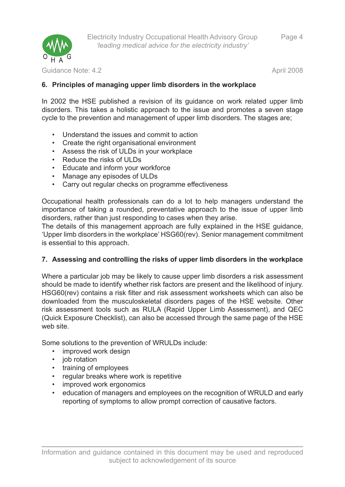

Guidance Note: 4.2 April 2008

# **Principles of managing upper limb disorders in the workplace 6.**

In 2002 the HSE published a revision of its guidance on work related upper limb disorders. This takes a holistic approach to the issue and promotes a seven stage cycle to the prevention and management of upper limb disorders. The stages are;

- Understand the issues and commit to action •
- Create the right organisational environment •
- Assess the risk of ULDs in your workplace •
- Reduce the risks of ULDs
- Educate and inform your workforce •
- Manage any episodes of ULDs
- Carry out regular checks on programme effectiveness •

Occupational health professionals can do a lot to help managers understand the importance of taking a rounded, preventative approach to the issue of upper limb disorders, rather than just responding to cases when they arise.

The details of this management approach are fully explained in the HSE guidance, 'Upper limb disorders in the workplace' HSG60(rev). Senior management commitment is essential to this approach.

# **Assessing and controlling the risks of upper limb disorders in the workplace 7.**

Where a particular job may be likely to cause upper limb disorders a risk assessment should be made to identify whether risk factors are present and the likelihood of injury. HSG60(rev) contains a risk filter and risk assessment worksheets which can also be downloaded from the musculoskeletal disorders pages of the HSE website. Other risk assessment tools such as RULA (Rapid Upper Limb Assessment), and QEC (Quick Exposure Checklist), can also be accessed through the same page of the HSE web site.

Some solutions to the prevention of WRULDs include:

- improved work design
- job rotation
- training of employees
- regular breaks where work is repetitive
- improved work ergonomics
- education of managers and employees on the recognition of WRULD and early reporting of symptoms to allow prompt correction of causative factors. •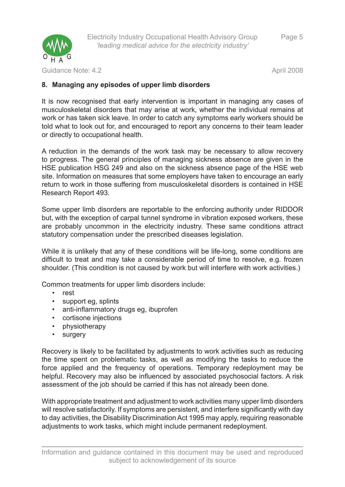

Guidance Note: 4.2 **April 2008 April 2008** 

Page 5

## **Managing any episodes of upper limb disorders 8.**

It is now recognised that early intervention is important in managing any cases of musculoskeletal disorders that may arise at work, whether the individual remains at work or has taken sick leave. In order to catch any symptoms early workers should be told what to look out for, and encouraged to report any concerns to their team leader or directly to occupational health.

A reduction in the demands of the work task may be necessary to allow recovery to progress. The general principles of managing sickness absence are given in the HSE publication HSG 249 and also on the sickness absence page of the HSE web site. Information on measures that some employers have taken to encourage an early return to work in those suffering from musculoskeletal disorders is contained in HSE Research Report 493.

Some upper limb disorders are reportable to the enforcing authority under RIDDOR but, with the exception of carpal tunnel syndrome in vibration exposed workers, these are probably uncommon in the electricity industry. These same conditions attract statutory compensation under the prescribed diseases legislation.

While it is unlikely that any of these conditions will be life-long, some conditions are difficult to treat and may take a considerable period of time to resolve, e.g. frozen shoulder. (This condition is not caused by work but will interfere with work activities.)

Common treatments for upper limb disorders include:

- rest
- support eg, splints •
- anti-inflammatory drugs eg, ibuprofen •
- cortisone injections
- physiotherapy •
- surgery •

Recovery is likely to be facilitated by adjustments to work activities such as reducing the time spent on problematic tasks, as well as modifying the tasks to reduce the force applied and the frequency of operations. Temporary redeployment may be helpful. Recovery may also be influenced by associated psychosocial factors. A risk assessment of the job should be carried if this has not already been done.

With appropriate treatment and adjustment to work activities many upper limb disorders will resolve satisfactorily. If symptoms are persistent, and interfere significantly with day to day activities, the Disability Discrimination Act 1995 may apply, requiring reasonable adjustments to work tasks, which might include permanent redeployment.